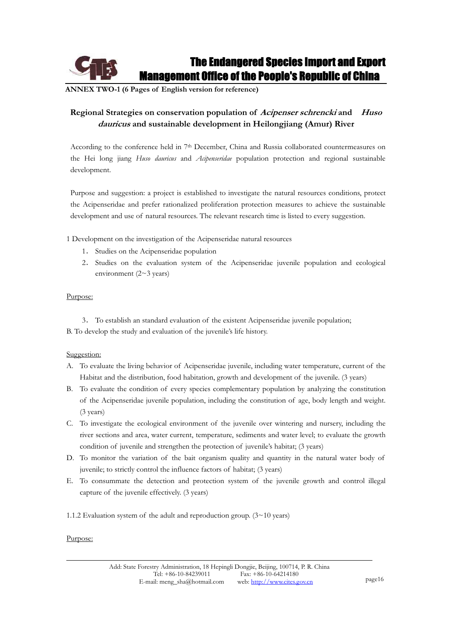**ANNEX TWO-1 (6 Pages of English version for reference)** 

# **Regional Strategies on conservation population of Acipenser schrencki and Huso dauricus and sustainable development in Heilongjiang (Amur) River**

According to the conference held in 7th December, China and Russia collaborated countermeasures on the Hei long jiang *Huso dauricus* and *Acipenseridae* population protection and regional sustainable development.

Purpose and suggestion: a project is established to investigate the natural resources conditions, protect the Acipenseridae and prefer rationalized proliferation protection measures to achieve the sustainable development and use of natural resources. The relevant research time is listed to every suggestion.

1 Development on the investigation of the Acipenseridae natural resources

- 1. Studies on the Acipenseridae population
- 2ˊ Studies on the evaluation system of the Acipenseridae juvenile population and ecological environment  $(2~3$  years)

# Purpose:

3. To establish an standard evaluation of the existent Acipenseridae juvenile population; B. To develop the study and evaluation of the juvenile's life history.

# Suggestion:

- A. To evaluate the living behavior of Acipenseridae juvenile, including water temperature, current of the Habitat and the distribution, food habitation, growth and development of the juvenile. (3 years)
- B. To evaluate the condition of every species complementary population by analyzing the constitution of the Acipenseridae juvenile population, including the constitution of age, body length and weight. (3 years)
- C. To investigate the ecological environment of the juvenile over wintering and nursery, including the river sections and area, water current, temperature, sediments and water level; to evaluate the growth condition of juvenile and strengthen the protection of juvenile's habitat; (3 years)
- D. To monitor the variation of the bait organism quality and quantity in the natural water body of juvenile; to strictly control the influence factors of habitat; (3 years)
- E. To consummate the detection and protection system of the juvenile growth and control illegal capture of the juvenile effectively. (3 years)
- 1.1.2 Evaluation system of the adult and reproduction group.  $(3~10)$  years)

# Purpose: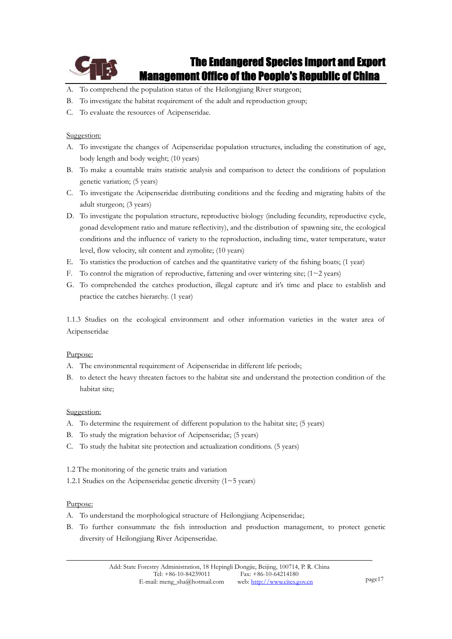

- A. To comprehend the population status of the Heilongjiang River sturgeon;
- B. To investigate the habitat requirement of the adult and reproduction group;
- C. To evaluate the resources of Acipenseridae.

# Suggestion:

- A. To investigate the changes of Acipenseridae population structures, including the constitution of age, body length and body weight; (10 years)
- B. To make a countable traits statistic analysis and comparison to detect the conditions of population genetic variation; (5 years)
- C. To investigate the Acipenseridae distributing conditions and the feeding and migrating habits of the adult sturgeon; (3 years)
- D. To investigate the population structure, reproductive biology (including fecundity, reproductive cycle, gonad development ratio and mature reflectivity), and the distribution of spawning site, the ecological conditions and the influence of variety to the reproduction, including time, water temperature, water level, flow velocity, silt content and zymolite; (10 years)
- E. To statistics the production of catches and the quantitative variety of the fishing boats; (1 year)
- F. To control the migration of reproductive, fattening and over wintering site;  $(1 \sim 2 \text{ years})$
- G. To comprehended the catches production, illegal capture and it's time and place to establish and practice the catches hierarchy. (1 year)

1.1.3 Studies on the ecological environment and other information varieties in the water area of Acipenseridae

# Purpose:

- A. The environmental requirement of Acipenseridae in different life periods;
- B. to detect the heavy threaten factors to the habitat site and understand the protection condition of the habitat site;

# Suggestion:

- A. To determine the requirement of different population to the habitat site; (5 years)
- B. To study the migration behavior of Acipenseridae; (5 years)
- C. To study the habitat site protection and actualization conditions. (5 years)
- 1.2 The monitoring of the genetic traits and variation
- 1.2.1 Studies on the Acipenseridae genetic diversity  $(1~5~years)$

#### Purpose:

- A. To understand the morphological structure of Heilongjiang Acipenseridae;
- B. To further consummate the fish introduction and production management, to protect genetic diversity of Heilongjiang River Acipenseridae.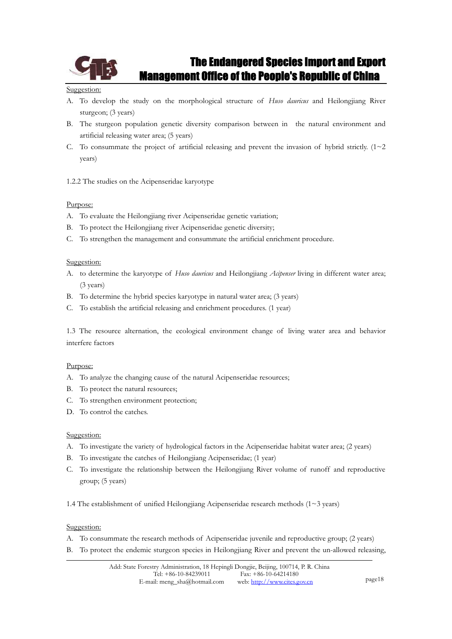

#### Suggestion:

- A. To develop the study on the morphological structure of *Huso dauricus* and Heilongjiang River sturgeon; (3 years)
- B. The sturgeon population genetic diversity comparison between in the natural environment and artificial releasing water area; (5 years)
- C. To consummate the project of artificial releasing and prevent the invasion of hybrid strictly.  $(1~2~)$ years)

1.2.2 The studies on the Acipenseridae karyotype

# Purpose:

- A. To evaluate the Heilongjiang river Acipenseridae genetic variation;
- B. To protect the Heilongjiang river Acipenseridae genetic diversity;
- C. To strengthen the management and consummate the artificial enrichment procedure.

# Suggestion:

- A. to determine the karyotype of *Huso dauricus* and Heilongjiang *Acipenser* living in different water area; (3 years)
- B. To determine the hybrid species karyotype in natural water area; (3 years)
- C. To establish the artificial releasing and enrichment procedures. (1 year)

1.3 The resource alternation, the ecological environment change of living water area and behavior interfere factors

# Purpose:

- A. To analyze the changing cause of the natural Acipenseridae resources;
- B. To protect the natural resources;
- C. To strengthen environment protection;
- D. To control the catches.

# Suggestion:

- A. To investigate the variety of hydrological factors in the Acipenseridae habitat water area; (2 years)
- B. To investigate the catches of Heilongjiang Acipenseridae; (1 year)
- C. To investigate the relationship between the Heilongjiang River volume of runoff and reproductive group; (5 years)
- 1.4 The establishment of unified Heilongjiang Acipenseridae research methods (1~3 years)

- A. To consummate the research methods of Acipenseridae juvenile and reproductive group; (2 years)
- B. To protect the endemic sturgeon species in Heilongjiang River and prevent the un-allowed releasing,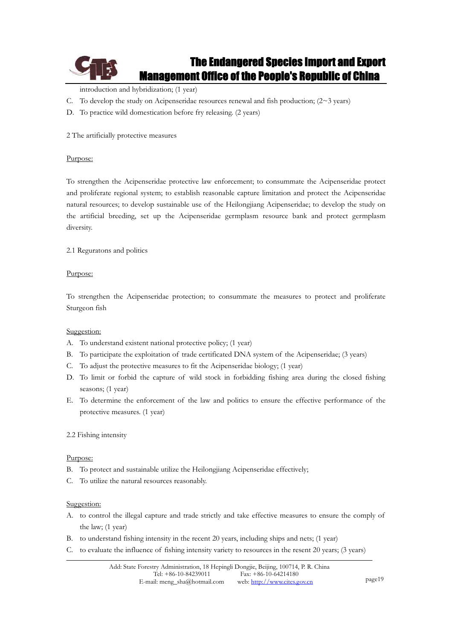

introduction and hybridization; (1 year)

- C. To develop the study on Acipenseridae resources renewal and fish production;  $(2~3~years)$
- D. To practice wild domestication before fry releasing. (2 years)

2 The artificially protective measures

### Purpose:

To strengthen the Acipenseridae protective law enforcement; to consummate the Acipenseridae protect and proliferate regional system; to establish reasonable capture limitation and protect the Acipenseridae natural resources; to develop sustainable use of the Heilongjiang Acipenseridae; to develop the study on the artificial breeding, set up the Acipenseridae germplasm resource bank and protect germplasm diversity.

2.1 Reguratons and politics

#### Purpose:

To strengthen the Acipenseridae protection; to consummate the measures to protect and proliferate Sturgeon fish

# Suggestion:

- A. To understand existent national protective policy; (1 year)
- B. To participate the exploitation of trade certificated DNA system of the Acipenseridae; (3 years)
- C. To adjust the protective measures to fit the Acipenseridae biology; (1 year)
- D. To limit or forbid the capture of wild stock in forbidding fishing area during the closed fishing seasons; (1 year)
- E. To determine the enforcement of the law and politics to ensure the effective performance of the protective measures. (1 year)

# 2.2 Fishing intensity

#### Purpose:

- B. To protect and sustainable utilize the Heilongjiang Acipenseridae effectively;
- C. To utilize the natural resources reasonably.

- A. to control the illegal capture and trade strictly and take effective measures to ensure the comply of the law; (1 year)
- B. to understand fishing intensity in the recent 20 years, including ships and nets; (1 year)
- C. to evaluate the influence of fishing intensity variety to resources in the resent 20 years; (3 years)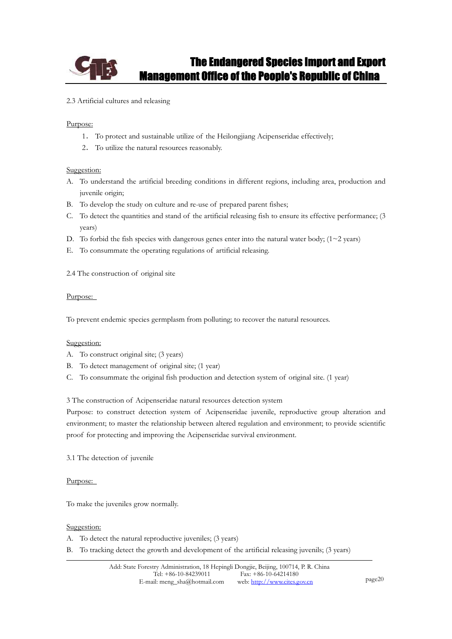

### 2.3 Artificial cultures and releasing

#### Purpose:

- 1. To protect and sustainable utilize of the Heilongjiang Acipenseridae effectively;
- 2. To utilize the natural resources reasonably.

#### Suggestion:

- A. To understand the artificial breeding conditions in different regions, including area, production and juvenile origin;
- B. To develop the study on culture and re-use of prepared parent fishes;
- C. To detect the quantities and stand of the artificial releasing fish to ensure its effective performance; (3 years)
- D. To forbid the fish species with dangerous genes enter into the natural water body;  $(1~2~years)$
- E. To consummate the operating regulations of artificial releasing.
- 2.4 The construction of original site

#### Purpose:

To prevent endemic species germplasm from polluting; to recover the natural resources.

# Suggestion:

- A. To construct original site; (3 years)
- B. To detect management of original site; (1 year)
- C. To consummate the original fish production and detection system of original site. (1 year)

3 The construction of Acipenseridae natural resources detection system

Purpose: to construct detection system of Acipenseridae juvenile, reproductive group alteration and environment; to master the relationship between altered regulation and environment; to provide scientific proof for protecting and improving the Acipenseridae survival environment.

3.1 The detection of juvenile

#### Purpose:

To make the juveniles grow normally.

- A. To detect the natural reproductive juveniles; (3 years)
- B. To tracking detect the growth and development of the artificial releasing juvenils; (3 years)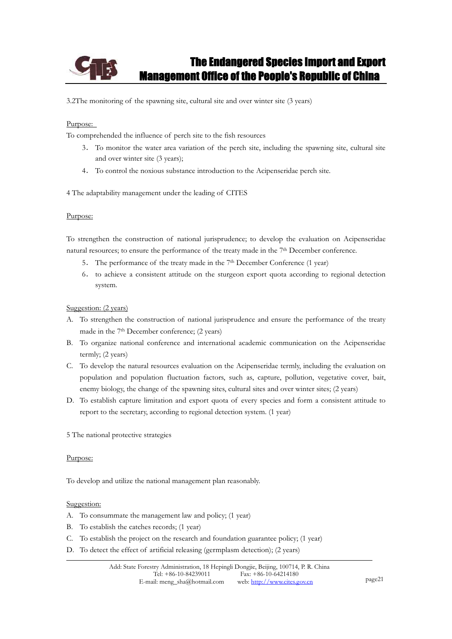

3.2The monitoring of the spawning site, cultural site and over winter site (3 years)

#### Purpose:

To comprehended the influence of perch site to the fish resources

- 3. To monitor the water area variation of the perch site, including the spawning site, cultural site and over winter site (3 years);
- 4. To control the noxious substance introduction to the Acipenseridae perch site.

4 The adaptability management under the leading of CITES

#### Purpose:

To strengthen the construction of national jurisprudence; to develop the evaluation on Acipenseridae natural resources; to ensure the performance of the treaty made in the 7<sup>th</sup> December conference.

- 5. The performance of the treaty made in the 7<sup>th</sup> December Conference (1 year)
- 6ˊ to achieve a consistent attitude on the sturgeon export quota according to regional detection system.

Suggestion: (2 years)

- A. To strengthen the construction of national jurisprudence and ensure the performance of the treaty made in the 7th December conference; (2 years)
- B. To organize national conference and international academic communication on the Acipenseridae termly; (2 years)
- C. To develop the natural resources evaluation on the Acipenseridae termly, including the evaluation on population and population fluctuation factors, such as, capture, pollution, vegetative cover, bait, enemy biology, the change of the spawning sites, cultural sites and over winter sites; (2 years)
- D. To establish capture limitation and export quota of every species and form a consistent attitude to report to the secretary, according to regional detection system. (1 year)
- 5 The national protective strategies

#### Purpose:

To develop and utilize the national management plan reasonably.

- A. To consummate the management law and policy; (1 year)
- B. To establish the catches records; (1 year)
- C. To establish the project on the research and foundation guarantee policy; (1 year)
- D. To detect the effect of artificial releasing (germplasm detection); (2 years)